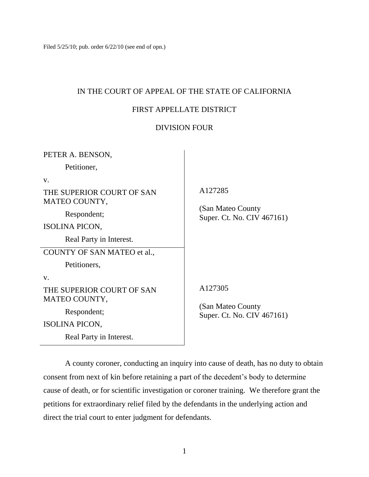Filed 5/25/10; pub. order 6/22/10 (see end of opn.)

## IN THE COURT OF APPEAL OF THE STATE OF CALIFORNIA

## FIRST APPELLATE DISTRICT

## DIVISION FOUR

| PETER A. BENSON,<br>Petitioner,                                                                                                                                    |                                                             |
|--------------------------------------------------------------------------------------------------------------------------------------------------------------------|-------------------------------------------------------------|
| V.<br>THE SUPERIOR COURT OF SAN<br>MATEO COUNTY,<br>Respondent;<br><b>ISOLINA PICON,</b><br>Real Party in Interest.<br>COUNTY OF SAN MATEO et al.,<br>Petitioners, | A127285<br>(San Mateo County)<br>Super. Ct. No. CIV 467161) |
| V.<br>THE SUPERIOR COURT OF SAN<br>MATEO COUNTY,<br>Respondent;<br><b>ISOLINA PICON,</b><br>Real Party in Interest.                                                | A127305<br>(San Mateo County)<br>Super. Ct. No. CIV 467161) |

A county coroner, conducting an inquiry into cause of death, has no duty to obtain consent from next of kin before retaining a part of the decedent's body to determine cause of death, or for scientific investigation or coroner training. We therefore grant the petitions for extraordinary relief filed by the defendants in the underlying action and direct the trial court to enter judgment for defendants.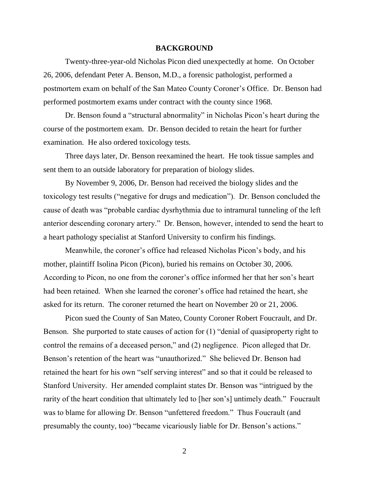#### **BACKGROUND**

Twenty-three-year-old Nicholas Picon died unexpectedly at home. On October 26, 2006, defendant Peter A. Benson, M.D., a forensic pathologist, performed a postmortem exam on behalf of the San Mateo County Coroner's Office. Dr. Benson had performed postmortem exams under contract with the county since 1968.

Dr. Benson found a "structural abnormality" in Nicholas Picon's heart during the course of the postmortem exam. Dr. Benson decided to retain the heart for further examination. He also ordered toxicology tests.

Three days later, Dr. Benson reexamined the heart. He took tissue samples and sent them to an outside laboratory for preparation of biology slides.

By November 9, 2006, Dr. Benson had received the biology slides and the toxicology test results ("negative for drugs and medication"). Dr. Benson concluded the cause of death was "probable cardiac dysrhythmia due to intramural tunneling of the left anterior descending coronary artery." Dr. Benson, however, intended to send the heart to a heart pathology specialist at Stanford University to confirm his findings.

Meanwhile, the coroner's office had released Nicholas Picon's body, and his mother, plaintiff Isolina Picon (Picon), buried his remains on October 30, 2006. According to Picon, no one from the coroner's office informed her that her son's heart had been retained. When she learned the coroner's office had retained the heart, she asked for its return. The coroner returned the heart on November 20 or 21, 2006.

Picon sued the County of San Mateo, County Coroner Robert Foucrault, and Dr. Benson. She purported to state causes of action for (1) "denial of quasiproperty right to control the remains of a deceased person," and (2) negligence. Picon alleged that Dr. Benson's retention of the heart was "unauthorized." She believed Dr. Benson had retained the heart for his own "self serving interest" and so that it could be released to Stanford University. Her amended complaint states Dr. Benson was "intrigued by the rarity of the heart condition that ultimately led to [her son's] untimely death." Foucrault was to blame for allowing Dr. Benson "unfettered freedom." Thus Foucrault (and presumably the county, too) "became vicariously liable for Dr. Benson's actions."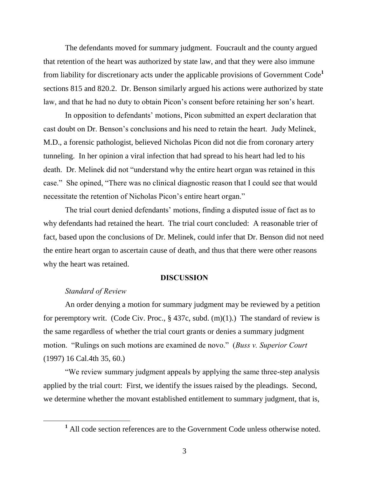The defendants moved for summary judgment. Foucrault and the county argued that retention of the heart was authorized by state law, and that they were also immune from liability for discretionary acts under the applicable provisions of Government Code**<sup>1</sup>** sections 815 and 820.2. Dr. Benson similarly argued his actions were authorized by state law, and that he had no duty to obtain Picon's consent before retaining her son's heart.

In opposition to defendants' motions, Picon submitted an expert declaration that cast doubt on Dr. Benson's conclusions and his need to retain the heart. Judy Melinek, M.D., a forensic pathologist, believed Nicholas Picon did not die from coronary artery tunneling. In her opinion a viral infection that had spread to his heart had led to his death. Dr. Melinek did not "understand why the entire heart organ was retained in this case." She opined, "There was no clinical diagnostic reason that I could see that would necessitate the retention of Nicholas Picon's entire heart organ."

The trial court denied defendants' motions, finding a disputed issue of fact as to why defendants had retained the heart. The trial court concluded: A reasonable trier of fact, based upon the conclusions of Dr. Melinek, could infer that Dr. Benson did not need the entire heart organ to ascertain cause of death, and thus that there were other reasons why the heart was retained.

## **DISCUSSION**

## *Standard of Review*

 $\overline{a}$ 

An order denying a motion for summary judgment may be reviewed by a petition for peremptory writ. (Code Civ. Proc.,  $\S$  437c, subd. (m)(1).) The standard of review is the same regardless of whether the trial court grants or denies a summary judgment motion. "Rulings on such motions are examined de novo." (*Buss v. Superior Court*  (1997) 16 Cal.4th 35, 60.)

"We review summary judgment appeals by applying the same three-step analysis applied by the trial court: First, we identify the issues raised by the pleadings. Second, we determine whether the movant established entitlement to summary judgment, that is,

**<sup>1</sup>** All code section references are to the Government Code unless otherwise noted.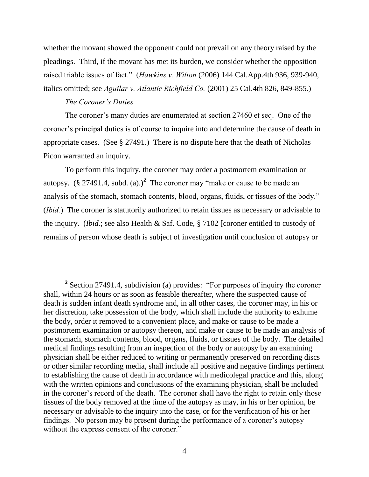whether the movant showed the opponent could not prevail on any theory raised by the pleadings. Third, if the movant has met its burden, we consider whether the opposition raised triable issues of fact." (*Hawkins v. Wilton* (2006) 144 Cal.App.4th 936, 939-940, italics omitted; see *Aguilar v. Atlantic Richfield Co.* (2001) 25 Cal.4th 826, 849-855.)

#### *The Coroner's Duties*

 $\overline{a}$ 

The coroner's many duties are enumerated at section 27460 et seq. One of the coroner's principal duties is of course to inquire into and determine the cause of death in appropriate cases. (See § 27491.) There is no dispute here that the death of Nicholas Picon warranted an inquiry.

To perform this inquiry, the coroner may order a postmortem examination or autopsy.  $(\S 27491.4, \text{subd.}(\mathbf{a}))^2$  The coroner may "make or cause to be made an analysis of the stomach, stomach contents, blood, organs, fluids, or tissues of the body." (*Ibid.*) The coroner is statutorily authorized to retain tissues as necessary or advisable to the inquiry. (*Ibid.*; see also Health & Saf. Code, § 7102 [coroner entitled to custody of remains of person whose death is subject of investigation until conclusion of autopsy or

<sup>&</sup>lt;sup>2</sup> Section 27491.4, subdivision (a) provides: "For purposes of inquiry the coroner shall, within 24 hours or as soon as feasible thereafter, where the suspected cause of death is sudden infant death syndrome and, in all other cases, the coroner may, in his or her discretion, take possession of the body, which shall include the authority to exhume the body, order it removed to a convenient place, and make or cause to be made a postmortem examination or autopsy thereon, and make or cause to be made an analysis of the stomach, stomach contents, blood, organs, fluids, or tissues of the body. The detailed medical findings resulting from an inspection of the body or autopsy by an examining physician shall be either reduced to writing or permanently preserved on recording discs or other similar recording media, shall include all positive and negative findings pertinent to establishing the cause of death in accordance with medicolegal practice and this, along with the written opinions and conclusions of the examining physician, shall be included in the coroner's record of the death. The coroner shall have the right to retain only those tissues of the body removed at the time of the autopsy as may, in his or her opinion, be necessary or advisable to the inquiry into the case, or for the verification of his or her findings. No person may be present during the performance of a coroner's autopsy without the express consent of the coroner."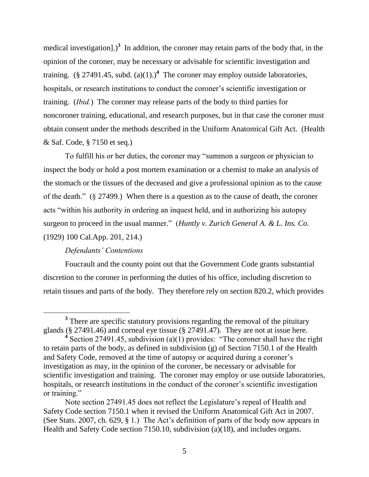medical investigation].)**<sup>3</sup>** In addition, the coroner may retain parts of the body that, in the opinion of the coroner, may be necessary or advisable for scientific investigation and training. (§ 27491.45, subd.  $(a)(1)$ .)<sup>4</sup> The coroner may employ outside laboratories, hospitals, or research institutions to conduct the coroner's scientific investigation or training. (*Ibid.*) The coroner may release parts of the body to third parties for noncoroner training, educational, and research purposes, but in that case the coroner must obtain consent under the methods described in the Uniform Anatomical Gift Act. (Health & Saf. Code, § 7150 et seq.)

To fulfill his or her duties, the coroner may "summon a surgeon or physician to inspect the body or hold a post mortem examination or a chemist to make an analysis of the stomach or the tissues of the deceased and give a professional opinion as to the cause of the death." (§ 27499.) When there is a question as to the cause of death, the coroner acts "within his authority in ordering an inquest held, and in authorizing his autopsy surgeon to proceed in the usual manner." (*Huntly v. Zurich General A. & L. Ins. Co.* (1929) 100 Cal.App. 201, 214.)

## *Defendants' Contentions*

Foucrault and the county point out that the Government Code grants substantial discretion to the coroner in performing the duties of his office, including discretion to retain tissues and parts of the body. They therefore rely on section 820.2, which provides

<sup>&</sup>lt;sup>3</sup> There are specific statutory provisions regarding the removal of the pituitary glands (§ 27491.46) and corneal eye tissue (§ 27491.47). They are not at issue here.

<sup>&</sup>lt;sup>4</sup> Section 27491.45, subdivision (a)(1) provides: "The coroner shall have the right to retain parts of the body, as defined in subdivision (g) of Section 7150.1 of the Health and Safety Code, removed at the time of autopsy or acquired during a coroner's investigation as may, in the opinion of the coroner, be necessary or advisable for scientific investigation and training. The coroner may employ or use outside laboratories, hospitals, or research institutions in the conduct of the coroner's scientific investigation or training."

Note section 27491.45 does not reflect the Legislature's repeal of Health and Safety Code section 7150.1 when it revised the Uniform Anatomical Gift Act in 2007. (See Stats. 2007, ch. 629, § 1.) The Act's definition of parts of the body now appears in Health and Safety Code section 7150.10, subdivision (a)(18), and includes organs.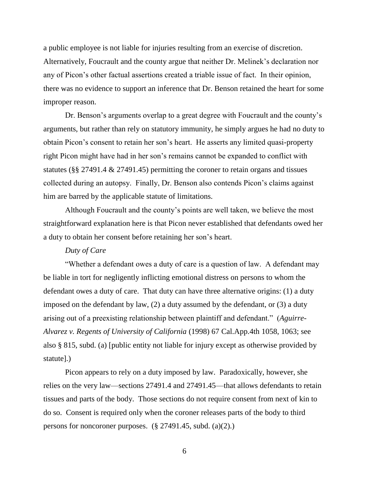a public employee is not liable for injuries resulting from an exercise of discretion. Alternatively, Foucrault and the county argue that neither Dr. Melinek's declaration nor any of Picon's other factual assertions created a triable issue of fact. In their opinion, there was no evidence to support an inference that Dr. Benson retained the heart for some improper reason.

Dr. Benson's arguments overlap to a great degree with Foucrault and the county's arguments, but rather than rely on statutory immunity, he simply argues he had no duty to obtain Picon's consent to retain her son's heart. He asserts any limited quasi-property right Picon might have had in her son's remains cannot be expanded to conflict with statutes (§§ 27491.4 & 27491.45) permitting the coroner to retain organs and tissues collected during an autopsy. Finally, Dr. Benson also contends Picon's claims against him are barred by the applicable statute of limitations.

Although Foucrault and the county's points are well taken, we believe the most straightforward explanation here is that Picon never established that defendants owed her a duty to obtain her consent before retaining her son's heart.

### *Duty of Care*

"Whether a defendant owes a duty of care is a question of law. A defendant may be liable in tort for negligently inflicting emotional distress on persons to whom the defendant owes a duty of care. That duty can have three alternative origins: (1) a duty imposed on the defendant by law, (2) a duty assumed by the defendant, or (3) a duty arising out of a preexisting relationship between plaintiff and defendant." (*Aguirre-Alvarez v. Regents of University of California* (1998) 67 Cal.App.4th 1058, 1063; see also § 815, subd. (a) [public entity not liable for injury except as otherwise provided by statute].)

Picon appears to rely on a duty imposed by law. Paradoxically, however, she relies on the very law—sections 27491.4 and 27491.45—that allows defendants to retain tissues and parts of the body. Those sections do not require consent from next of kin to do so. Consent is required only when the coroner releases parts of the body to third persons for noncoroner purposes.  $(\S 27491.45, \text{subd.} (a)(2))$ .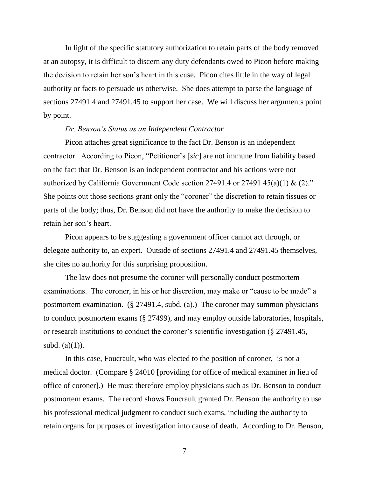In light of the specific statutory authorization to retain parts of the body removed at an autopsy, it is difficult to discern any duty defendants owed to Picon before making the decision to retain her son's heart in this case. Picon cites little in the way of legal authority or facts to persuade us otherwise. She does attempt to parse the language of sections 27491.4 and 27491.45 to support her case. We will discuss her arguments point by point.

#### *Dr. Benson's Status as an Independent Contractor*

Picon attaches great significance to the fact Dr. Benson is an independent contractor. According to Picon, "Petitioner's [*sic*] are not immune from liability based on the fact that Dr. Benson is an independent contractor and his actions were not authorized by California Government Code section 27491.4 or 27491.45(a)(1) & (2)." She points out those sections grant only the "coroner" the discretion to retain tissues or parts of the body; thus, Dr. Benson did not have the authority to make the decision to retain her son's heart.

Picon appears to be suggesting a government officer cannot act through, or delegate authority to, an expert. Outside of sections 27491.4 and 27491.45 themselves, she cites no authority for this surprising proposition.

The law does not presume the coroner will personally conduct postmortem examinations. The coroner, in his or her discretion, may make or "cause to be made" a postmortem examination. (§ 27491.4, subd. (a).) The coroner may summon physicians to conduct postmortem exams (§ 27499), and may employ outside laboratories, hospitals, or research institutions to conduct the coroner's scientific investigation (§ 27491.45, subd.  $(a)(1)$ ).

In this case, Foucrault, who was elected to the position of coroner, is not a medical doctor. (Compare § 24010 [providing for office of medical examiner in lieu of office of coroner].) He must therefore employ physicians such as Dr. Benson to conduct postmortem exams. The record shows Foucrault granted Dr. Benson the authority to use his professional medical judgment to conduct such exams, including the authority to retain organs for purposes of investigation into cause of death. According to Dr. Benson,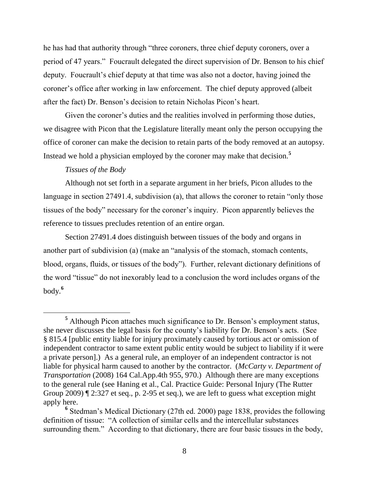he has had that authority through "three coroners, three chief deputy coroners, over a period of 47 years." Foucrault delegated the direct supervision of Dr. Benson to his chief deputy. Foucrault's chief deputy at that time was also not a doctor, having joined the coroner's office after working in law enforcement. The chief deputy approved (albeit after the fact) Dr. Benson's decision to retain Nicholas Picon's heart.

Given the coroner's duties and the realities involved in performing those duties, we disagree with Picon that the Legislature literally meant only the person occupying the office of coroner can make the decision to retain parts of the body removed at an autopsy. Instead we hold a physician employed by the coroner may make that decision.**<sup>5</sup>**

## *Tissues of the Body*

Although not set forth in a separate argument in her briefs, Picon alludes to the language in section 27491.4, subdivision (a), that allows the coroner to retain "only those tissues of the body" necessary for the coroner's inquiry. Picon apparently believes the reference to tissues precludes retention of an entire organ.

Section 27491.4 does distinguish between tissues of the body and organs in another part of subdivision (a) (make an "analysis of the stomach, stomach contents, blood, organs, fluids, or tissues of the body"). Further, relevant dictionary definitions of the word "tissue" do not inexorably lead to a conclusion the word includes organs of the body.**<sup>6</sup>**

**<sup>5</sup>** Although Picon attaches much significance to Dr. Benson's employment status, she never discusses the legal basis for the county's liability for Dr. Benson's acts. (See § 815.4 [public entity liable for injury proximately caused by tortious act or omission of independent contractor to same extent public entity would be subject to liability if it were a private person].) As a general rule, an employer of an independent contractor is not liable for physical harm caused to another by the contractor. (*McCarty v. Department of Transportation* (2008) 164 Cal.App.4th 955, 970.) Although there are many exceptions to the general rule (see Haning et al., Cal. Practice Guide: Personal Injury (The Rutter Group 2009) ¶ 2:327 et seq., p. 2-95 et seq.), we are left to guess what exception might apply here.

**<sup>6</sup>** Stedman's Medical Dictionary (27th ed. 2000) page 1838, provides the following definition of tissue: "A collection of similar cells and the intercellular substances surrounding them." According to that dictionary, there are four basic tissues in the body,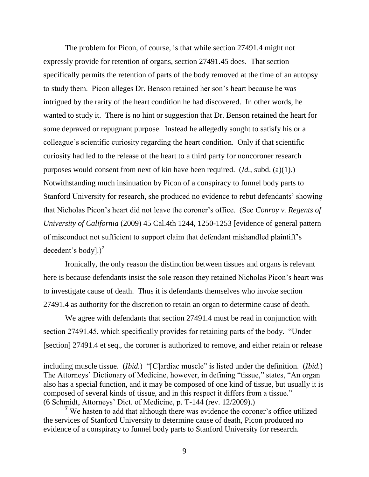The problem for Picon, of course, is that while section 27491.4 might not expressly provide for retention of organs, section 27491.45 does. That section specifically permits the retention of parts of the body removed at the time of an autopsy to study them. Picon alleges Dr. Benson retained her son's heart because he was intrigued by the rarity of the heart condition he had discovered. In other words, he wanted to study it. There is no hint or suggestion that Dr. Benson retained the heart for some depraved or repugnant purpose. Instead he allegedly sought to satisfy his or a colleague's scientific curiosity regarding the heart condition. Only if that scientific curiosity had led to the release of the heart to a third party for noncoroner research purposes would consent from next of kin have been required. (*Id.*, subd. (a)(1).) Notwithstanding much insinuation by Picon of a conspiracy to funnel body parts to Stanford University for research, she produced no evidence to rebut defendants' showing that Nicholas Picon's heart did not leave the coroner's office. (See *Conroy v. Regents of University of California* (2009) 45 Cal.4th 1244, 1250-1253 [evidence of general pattern of misconduct not sufficient to support claim that defendant mishandled plaintiff's decedent's body].)**<sup>7</sup>**

Ironically, the only reason the distinction between tissues and organs is relevant here is because defendants insist the sole reason they retained Nicholas Picon's heart was to investigate cause of death. Thus it is defendants themselves who invoke section 27491.4 as authority for the discretion to retain an organ to determine cause of death.

We agree with defendants that section 27491.4 must be read in conjunction with section 27491.45, which specifically provides for retaining parts of the body. "Under [section] 27491.4 et seq., the coroner is authorized to remove, and either retain or release

 $\overline{a}$ 

including muscle tissue. (*Ibid.*) "[C]ardiac muscle" is listed under the definition. (*Ibid.*) The Attorneys' Dictionary of Medicine, however, in defining "tissue," states, "An organ also has a special function, and it may be composed of one kind of tissue, but usually it is composed of several kinds of tissue, and in this respect it differs from a tissue." (6 Schmidt, Attorneys' Dict. of Medicine, p. T-144 (rev. 12/2009).)

**<sup>7</sup>** We hasten to add that although there was evidence the coroner's office utilized the services of Stanford University to determine cause of death, Picon produced no evidence of a conspiracy to funnel body parts to Stanford University for research.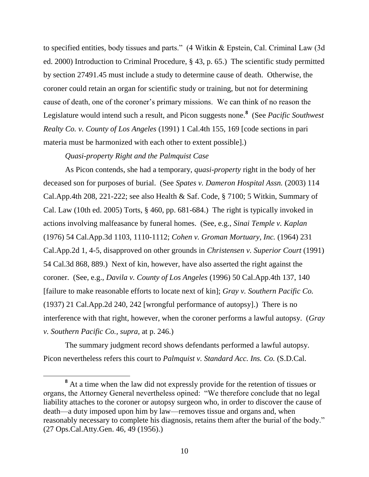to specified entities, body tissues and parts." (4 Witkin & Epstein, Cal. Criminal Law (3d ed. 2000) Introduction to Criminal Procedure, § 43, p. 65.) The scientific study permitted by section 27491.45 must include a study to determine cause of death. Otherwise, the coroner could retain an organ for scientific study or training, but not for determining cause of death, one of the coroner's primary missions. We can think of no reason the Legislature would intend such a result, and Picon suggests none.**<sup>8</sup>** (See *Pacific Southwest Realty Co. v. County of Los Angeles* (1991) 1 Cal.4th 155, 169 [code sections in pari materia must be harmonized with each other to extent possible].)

*Quasi-property Right and the Palmquist Case*

As Picon contends, she had a temporary, *quasi-property* right in the body of her deceased son for purposes of burial. (See *Spates v. Dameron Hospital Assn.* (2003) 114 Cal.App.4th 208, 221-222; see also Health & Saf. Code, § 7100; 5 Witkin, Summary of Cal. Law (10th ed. 2005) Torts, § 460, pp. 681-684.) The right is typically invoked in actions involving malfeasance by funeral homes. (See, e.g., *Sinai Temple v. Kaplan* (1976) 54 Cal.App.3d 1103, 1110-1112; *Cohen v. Groman Mortuary, Inc.* (1964) 231 Cal.App.2d 1, 4-5, disapproved on other grounds in *Christensen v. Superior Court* (1991) 54 Cal.3d 868, 889.) Next of kin, however, have also asserted the right against the coroner. (See, e.g., *Davila v. County of Los Angeles* (1996) 50 Cal.App.4th 137, 140 [failure to make reasonable efforts to locate next of kin]; *Gray v. Southern Pacific Co.* (1937) 21 Cal.App.2d 240, 242 [wrongful performance of autopsy].) There is no interference with that right, however, when the coroner performs a lawful autopsy. (*Gray v. Southern Pacific Co., supra,* at p. 246.)

The summary judgment record shows defendants performed a lawful autopsy. Picon nevertheless refers this court to *Palmquist v. Standard Acc. Ins. Co.* (S.D.Cal.

**<sup>8</sup>** At a time when the law did not expressly provide for the retention of tissues or organs, the Attorney General nevertheless opined: "We therefore conclude that no legal liability attaches to the coroner or autopsy surgeon who, in order to discover the cause of death—a duty imposed upon him by law—removes tissue and organs and, when reasonably necessary to complete his diagnosis, retains them after the burial of the body." (27 Ops.Cal.Atty.Gen. 46, 49 (1956).)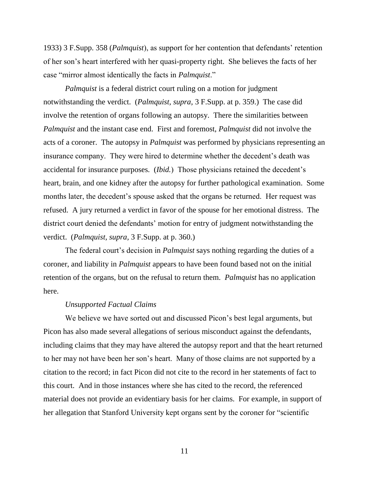1933) 3 F.Supp. 358 (*Palmquist*), as support for her contention that defendants' retention of her son's heart interfered with her quasi-property right. She believes the facts of her case "mirror almost identically the facts in *Palmquist*."

*Palmquist* is a federal district court ruling on a motion for judgment notwithstanding the verdict. (*Palmquist, supra,* 3 F.Supp. at p. 359.) The case did involve the retention of organs following an autopsy. There the similarities between *Palmquist* and the instant case end. First and foremost, *Palmquist* did not involve the acts of a coroner. The autopsy in *Palmquist* was performed by physicians representing an insurance company. They were hired to determine whether the decedent's death was accidental for insurance purposes. (*Ibid.*) Those physicians retained the decedent's heart, brain, and one kidney after the autopsy for further pathological examination. Some months later, the decedent's spouse asked that the organs be returned. Her request was refused. A jury returned a verdict in favor of the spouse for her emotional distress. The district court denied the defendants' motion for entry of judgment notwithstanding the verdict. (*Palmquist, supra,* 3 F.Supp. at p. 360.)

The federal court's decision in *Palmquist* says nothing regarding the duties of a coroner, and liability in *Palmquist* appears to have been found based not on the initial retention of the organs, but on the refusal to return them. *Palmquist* has no application here.

## *Unsupported Factual Claims*

We believe we have sorted out and discussed Picon's best legal arguments, but Picon has also made several allegations of serious misconduct against the defendants, including claims that they may have altered the autopsy report and that the heart returned to her may not have been her son's heart. Many of those claims are not supported by a citation to the record; in fact Picon did not cite to the record in her statements of fact to this court. And in those instances where she has cited to the record, the referenced material does not provide an evidentiary basis for her claims. For example, in support of her allegation that Stanford University kept organs sent by the coroner for "scientific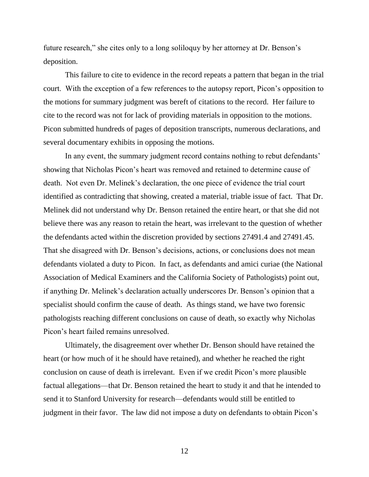future research," she cites only to a long soliloquy by her attorney at Dr. Benson's deposition.

This failure to cite to evidence in the record repeats a pattern that began in the trial court. With the exception of a few references to the autopsy report, Picon's opposition to the motions for summary judgment was bereft of citations to the record. Her failure to cite to the record was not for lack of providing materials in opposition to the motions. Picon submitted hundreds of pages of deposition transcripts, numerous declarations, and several documentary exhibits in opposing the motions.

In any event, the summary judgment record contains nothing to rebut defendants' showing that Nicholas Picon's heart was removed and retained to determine cause of death. Not even Dr. Melinek's declaration, the one piece of evidence the trial court identified as contradicting that showing, created a material, triable issue of fact. That Dr. Melinek did not understand why Dr. Benson retained the entire heart, or that she did not believe there was any reason to retain the heart, was irrelevant to the question of whether the defendants acted within the discretion provided by sections 27491.4 and 27491.45. That she disagreed with Dr. Benson's decisions, actions, or conclusions does not mean defendants violated a duty to Picon. In fact, as defendants and amici curiae (the National Association of Medical Examiners and the California Society of Pathologists) point out, if anything Dr. Melinek's declaration actually underscores Dr. Benson's opinion that a specialist should confirm the cause of death. As things stand, we have two forensic pathologists reaching different conclusions on cause of death, so exactly why Nicholas Picon's heart failed remains unresolved.

Ultimately, the disagreement over whether Dr. Benson should have retained the heart (or how much of it he should have retained), and whether he reached the right conclusion on cause of death is irrelevant. Even if we credit Picon's more plausible factual allegations—that Dr. Benson retained the heart to study it and that he intended to send it to Stanford University for research—defendants would still be entitled to judgment in their favor. The law did not impose a duty on defendants to obtain Picon's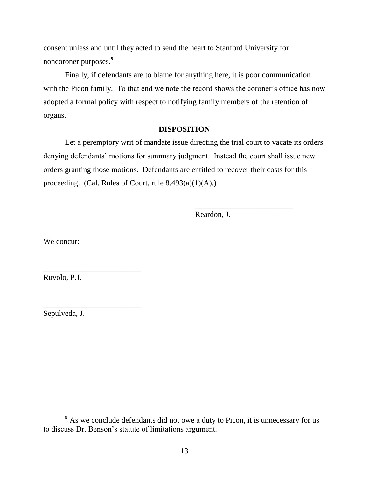consent unless and until they acted to send the heart to Stanford University for noncoroner purposes. **9**

Finally, if defendants are to blame for anything here, it is poor communication with the Picon family. To that end we note the record shows the coroner's office has now adopted a formal policy with respect to notifying family members of the retention of organs.

## **DISPOSITION**

Let a peremptory writ of mandate issue directing the trial court to vacate its orders denying defendants' motions for summary judgment. Instead the court shall issue new orders granting those motions. Defendants are entitled to recover their costs for this proceeding. (Cal. Rules of Court, rule  $8.493(a)(1)(A)$ .)

Reardon, J.

\_\_\_\_\_\_\_\_\_\_\_\_\_\_\_\_\_\_\_\_\_\_\_\_\_

We concur:

Ruvolo, P.J.

\_\_\_\_\_\_\_\_\_\_\_\_\_\_\_\_\_\_\_\_\_\_\_\_\_

\_\_\_\_\_\_\_\_\_\_\_\_\_\_\_\_\_\_\_\_\_\_\_\_\_

Sepulveda, J.

 $\overline{a}$ 

<sup>&</sup>lt;sup>9</sup> As we conclude defendants did not owe a duty to Picon, it is unnecessary for us to discuss Dr. Benson's statute of limitations argument.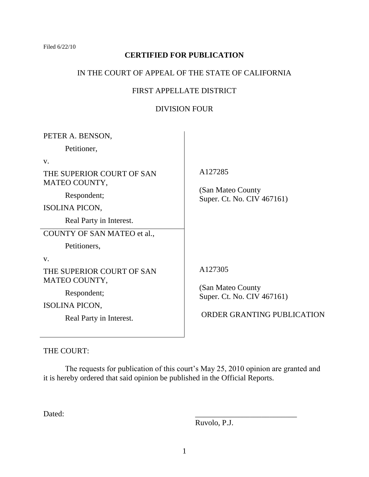Filed 6/22/10

# **CERTIFIED FOR PUBLICATION**

# IN THE COURT OF APPEAL OF THE STATE OF CALIFORNIA

# FIRST APPELLATE DISTRICT

# DIVISION FOUR

| PETER A. BENSON,                                                                                                                                                   |                                                                                                  |
|--------------------------------------------------------------------------------------------------------------------------------------------------------------------|--------------------------------------------------------------------------------------------------|
| Petitioner,                                                                                                                                                        |                                                                                                  |
| V.<br>THE SUPERIOR COURT OF SAN<br>MATEO COUNTY,<br>Respondent;<br><b>ISOLINA PICON,</b><br>Real Party in Interest.<br>COUNTY OF SAN MATEO et al.,<br>Petitioners, | A127285<br>(San Mateo County)<br>Super. Ct. No. CIV 467161)                                      |
| $V_{\star}$<br>THE SUPERIOR COURT OF SAN<br>MATEO COUNTY,<br>Respondent;<br><b>ISOLINA PICON,</b><br>Real Party in Interest.                                       | A127305<br>(San Mateo County)<br>Super. Ct. No. CIV 467161)<br><b>ORDER GRANTING PUBLICATION</b> |

# THE COURT:

The requests for publication of this court's May 25, 2010 opinion are granted and it is hereby ordered that said opinion be published in the Official Reports.

Dated: \_\_\_\_\_\_\_\_\_\_\_\_\_\_\_\_\_\_\_\_\_\_\_\_\_\_

Ruvolo, P.J.